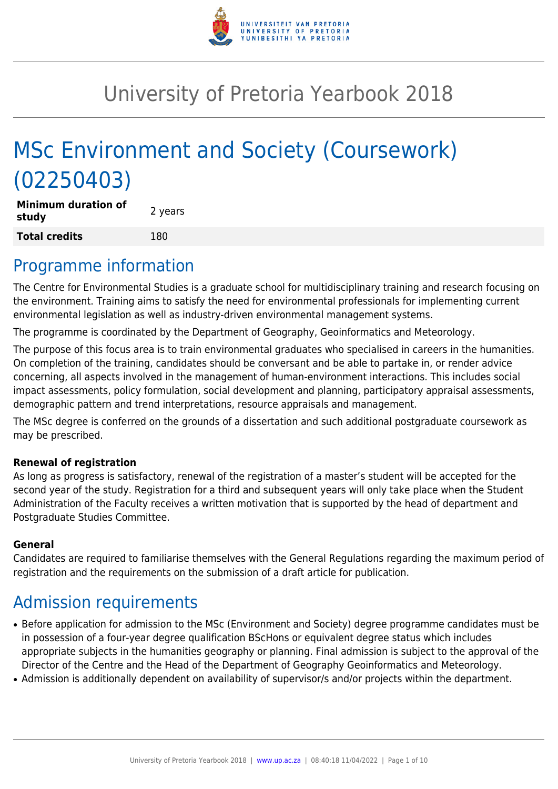

# University of Pretoria Yearbook 2018

# MSc Environment and Society (Coursework) (02250403)

**Minimum duration of study and all study 2** years **Total credits** 180

### Programme information

The Centre for Environmental Studies is a graduate school for multidisciplinary training and research focusing on the environment. Training aims to satisfy the need for environmental professionals for implementing current environmental legislation as well as industry-driven environmental management systems.

The programme is coordinated by the Department of Geography, Geoinformatics and Meteorology.

The purpose of this focus area is to train environmental graduates who specialised in careers in the humanities. On completion of the training, candidates should be conversant and be able to partake in, or render advice concerning, all aspects involved in the management of human-environment interactions. This includes social impact assessments, policy formulation, social development and planning, participatory appraisal assessments, demographic pattern and trend interpretations, resource appraisals and management.

The MSc degree is conferred on the grounds of a dissertation and such additional postgraduate coursework as may be prescribed.

#### **Renewal of registration**

As long as progress is satisfactory, renewal of the registration of a master's student will be accepted for the second year of the study. Registration for a third and subsequent years will only take place when the Student Administration of the Faculty receives a written motivation that is supported by the head of department and Postgraduate Studies Committee.

#### **General**

Candidates are required to familiarise themselves with the General Regulations regarding the maximum period of registration and the requirements on the submission of a draft article for publication.

### Admission requirements

- Before application for admission to the MSc (Environment and Society) degree programme candidates must be in possession of a four-year degree qualification BScHons or equivalent degree status which includes appropriate subjects in the humanities geography or planning. Final admission is subject to the approval of the Director of the Centre and the Head of the Department of Geography Geoinformatics and Meteorology.
- Admission is additionally dependent on availability of supervisor/s and/or projects within the department.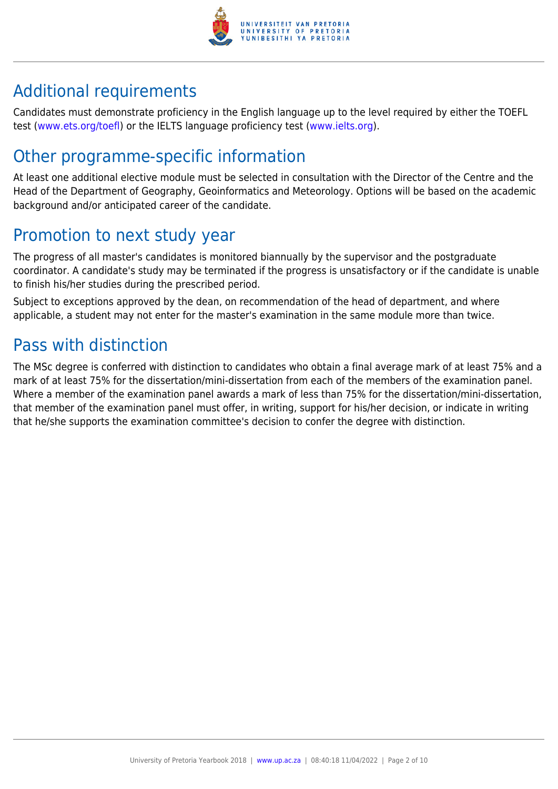

## Additional requirements

Candidates must demonstrate proficiency in the English language up to the level required by either the TOEFL test [\(www.ets.org/toefl\)](http://www.ets.org/toefl) or the IELTS language proficiency test ([www.ielts.org](http://www.ielts.org)).

### Other programme-specific information

At least one additional elective module must be selected in consultation with the Director of the Centre and the Head of the Department of Geography, Geoinformatics and Meteorology. Options will be based on the academic background and/or anticipated career of the candidate.

### Promotion to next study year

The progress of all master's candidates is monitored biannually by the supervisor and the postgraduate coordinator. A candidate's study may be terminated if the progress is unsatisfactory or if the candidate is unable to finish his/her studies during the prescribed period.

Subject to exceptions approved by the dean, on recommendation of the head of department, and where applicable, a student may not enter for the master's examination in the same module more than twice.

### Pass with distinction

The MSc degree is conferred with distinction to candidates who obtain a final average mark of at least 75% and a mark of at least 75% for the dissertation/mini-dissertation from each of the members of the examination panel. Where a member of the examination panel awards a mark of less than 75% for the dissertation/mini-dissertation, that member of the examination panel must offer, in writing, support for his/her decision, or indicate in writing that he/she supports the examination committee's decision to confer the degree with distinction.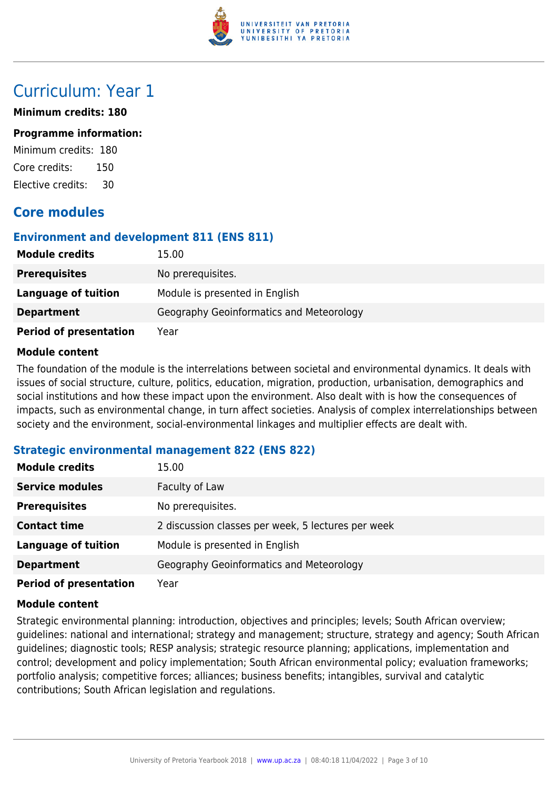

### Curriculum: Year 1

#### **Minimum credits: 180**

#### **Programme information:**

Minimum credits: 180 Core credits: 150 Elective credits: 30

#### **Core modules**

#### **Environment and development 811 (ENS 811)**

| <b>Module credits</b>         | 15.00                                    |
|-------------------------------|------------------------------------------|
| <b>Prerequisites</b>          | No prerequisites.                        |
| <b>Language of tuition</b>    | Module is presented in English           |
| <b>Department</b>             | Geography Geoinformatics and Meteorology |
| <b>Period of presentation</b> | Year                                     |

#### **Module content**

The foundation of the module is the interrelations between societal and environmental dynamics. It deals with issues of social structure, culture, politics, education, migration, production, urbanisation, demographics and social institutions and how these impact upon the environment. Also dealt with is how the consequences of impacts, such as environmental change, in turn affect societies. Analysis of complex interrelationships between society and the environment, social-environmental linkages and multiplier effects are dealt with.

#### **Strategic environmental management 822 (ENS 822)**

| <b>Module credits</b>         | 15.00                                              |
|-------------------------------|----------------------------------------------------|
| <b>Service modules</b>        | Faculty of Law                                     |
| <b>Prerequisites</b>          | No prerequisites.                                  |
| <b>Contact time</b>           | 2 discussion classes per week, 5 lectures per week |
| <b>Language of tuition</b>    | Module is presented in English                     |
| <b>Department</b>             | Geography Geoinformatics and Meteorology           |
| <b>Period of presentation</b> | Year                                               |

#### **Module content**

Strategic environmental planning: introduction, objectives and principles; levels; South African overview; guidelines: national and international; strategy and management; structure, strategy and agency; South African guidelines; diagnostic tools; RESP analysis; strategic resource planning; applications, implementation and control; development and policy implementation; South African environmental policy; evaluation frameworks; portfolio analysis; competitive forces; alliances; business benefits; intangibles, survival and catalytic contributions; South African legislation and regulations.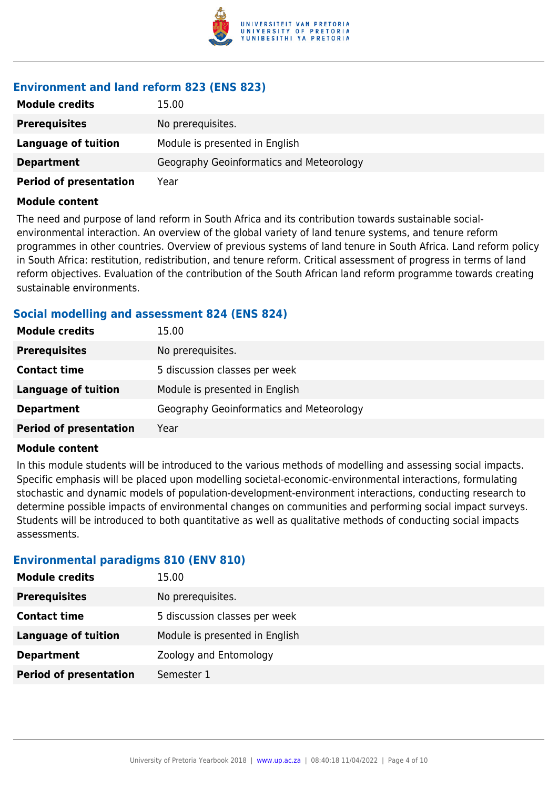

#### **Environment and land reform 823 (ENS 823)**

| <b>Module credits</b>         | 15.00                                    |
|-------------------------------|------------------------------------------|
| <b>Prerequisites</b>          | No prerequisites.                        |
| Language of tuition           | Module is presented in English           |
| <b>Department</b>             | Geography Geoinformatics and Meteorology |
| <b>Period of presentation</b> | Year                                     |

#### **Module content**

The need and purpose of land reform in South Africa and its contribution towards sustainable socialenvironmental interaction. An overview of the global variety of land tenure systems, and tenure reform programmes in other countries. Overview of previous systems of land tenure in South Africa. Land reform policy in South Africa: restitution, redistribution, and tenure reform. Critical assessment of progress in terms of land reform objectives. Evaluation of the contribution of the South African land reform programme towards creating sustainable environments.

#### **Social modelling and assessment 824 (ENS 824)**

| <b>Module credits</b>         | 15.00                                    |
|-------------------------------|------------------------------------------|
| <b>Prerequisites</b>          | No prerequisites.                        |
| <b>Contact time</b>           | 5 discussion classes per week            |
| <b>Language of tuition</b>    | Module is presented in English           |
| <b>Department</b>             | Geography Geoinformatics and Meteorology |
| <b>Period of presentation</b> | Year                                     |

#### **Module content**

In this module students will be introduced to the various methods of modelling and assessing social impacts. Specific emphasis will be placed upon modelling societal-economic-environmental interactions, formulating stochastic and dynamic models of population-development-environment interactions, conducting research to determine possible impacts of environmental changes on communities and performing social impact surveys. Students will be introduced to both quantitative as well as qualitative methods of conducting social impacts assessments.

#### **Environmental paradigms 810 (ENV 810)**

| <b>Module credits</b>         | 15.00                          |
|-------------------------------|--------------------------------|
| <b>Prerequisites</b>          | No prerequisites.              |
| <b>Contact time</b>           | 5 discussion classes per week  |
| Language of tuition           | Module is presented in English |
| <b>Department</b>             | Zoology and Entomology         |
| <b>Period of presentation</b> | Semester 1                     |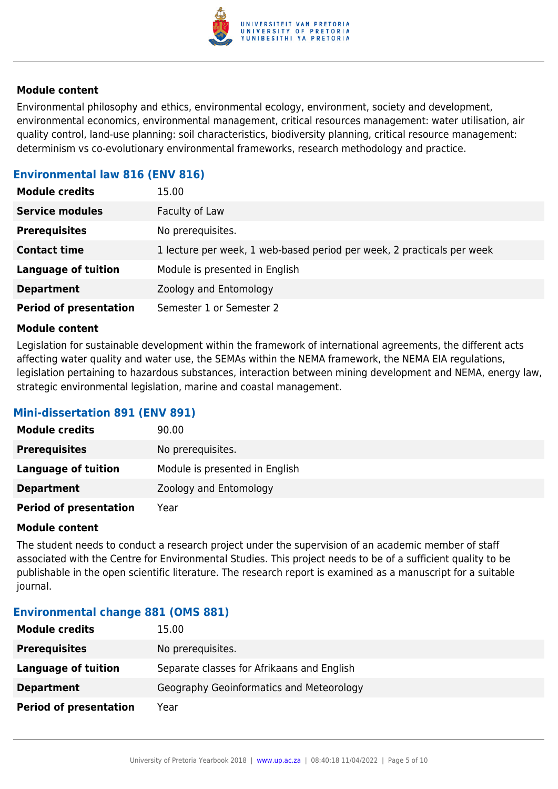

#### **Module content**

Environmental philosophy and ethics, environmental ecology, environment, society and development, environmental economics, environmental management, critical resources management: water utilisation, air quality control, land-use planning: soil characteristics, biodiversity planning, critical resource management: determinism vs co-evolutionary environmental frameworks, research methodology and practice.

#### **Environmental law 816 (ENV 816)**

| <b>Module credits</b>         | 15.00                                                                  |
|-------------------------------|------------------------------------------------------------------------|
| <b>Service modules</b>        | Faculty of Law                                                         |
| <b>Prerequisites</b>          | No prerequisites.                                                      |
| <b>Contact time</b>           | 1 lecture per week, 1 web-based period per week, 2 practicals per week |
| <b>Language of tuition</b>    | Module is presented in English                                         |
| <b>Department</b>             | Zoology and Entomology                                                 |
| <b>Period of presentation</b> | Semester 1 or Semester 2                                               |

#### **Module content**

Legislation for sustainable development within the framework of international agreements, the different acts affecting water quality and water use, the SEMAs within the NEMA framework, the NEMA EIA regulations, legislation pertaining to hazardous substances, interaction between mining development and NEMA, energy law, strategic environmental legislation, marine and coastal management.

#### **Mini-dissertation 891 (ENV 891)**

| <b>Module credits</b>         | 90.00                          |
|-------------------------------|--------------------------------|
| <b>Prerequisites</b>          | No prerequisites.              |
| Language of tuition           | Module is presented in English |
| <b>Department</b>             | Zoology and Entomology         |
| <b>Period of presentation</b> | Year                           |

#### **Module content**

The student needs to conduct a research project under the supervision of an academic member of staff associated with the Centre for Environmental Studies. This project needs to be of a sufficient quality to be publishable in the open scientific literature. The research report is examined as a manuscript for a suitable journal.

#### **Environmental change 881 (OMS 881)**

| <b>Module credits</b>         | 15.00                                      |
|-------------------------------|--------------------------------------------|
| <b>Prerequisites</b>          | No prerequisites.                          |
| Language of tuition           | Separate classes for Afrikaans and English |
| <b>Department</b>             | Geography Geoinformatics and Meteorology   |
| <b>Period of presentation</b> | Year                                       |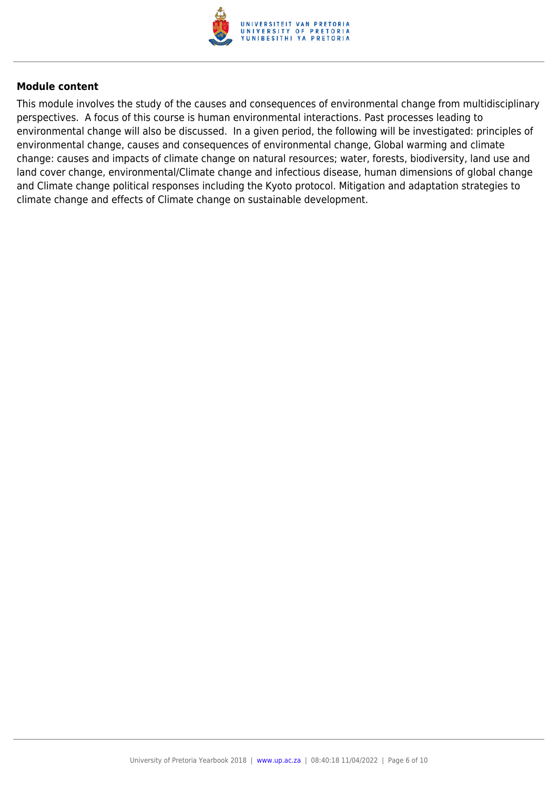

#### **Module content**

This module involves the study of the causes and consequences of environmental change from multidisciplinary perspectives. A focus of this course is human environmental interactions. Past processes leading to environmental change will also be discussed. In a given period, the following will be investigated: principles of environmental change, causes and consequences of environmental change, Global warming and climate change: causes and impacts of climate change on natural resources; water, forests, biodiversity, land use and land cover change, environmental/Climate change and infectious disease, human dimensions of global change and Climate change political responses including the Kyoto protocol. Mitigation and adaptation strategies to climate change and effects of Climate change on sustainable development.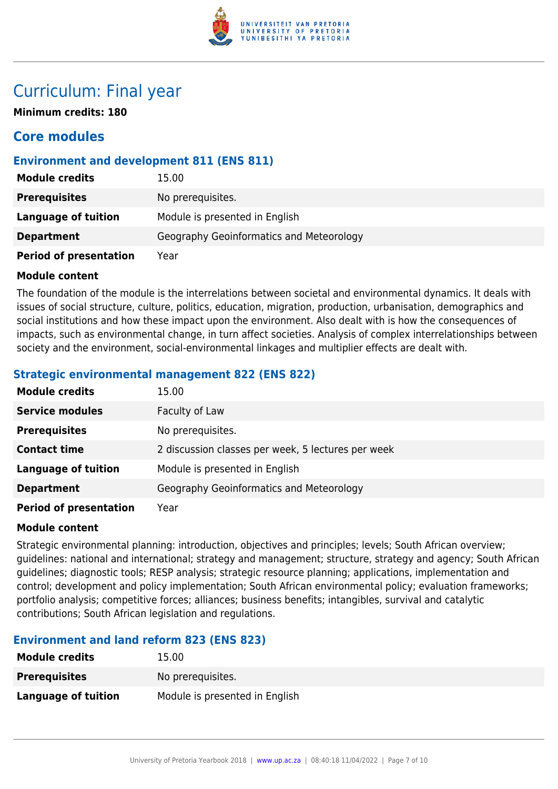

### Curriculum: Final year

**Minimum credits: 180**

### **Core modules**

#### **Environment and development 811 (ENS 811)**

| <b>Module credits</b>         | 15.00                                    |
|-------------------------------|------------------------------------------|
| <b>Prerequisites</b>          | No prerequisites.                        |
| <b>Language of tuition</b>    | Module is presented in English           |
| <b>Department</b>             | Geography Geoinformatics and Meteorology |
| <b>Period of presentation</b> | Year                                     |

#### **Module content**

The foundation of the module is the interrelations between societal and environmental dynamics. It deals with issues of social structure, culture, politics, education, migration, production, urbanisation, demographics and social institutions and how these impact upon the environment. Also dealt with is how the consequences of impacts, such as environmental change, in turn affect societies. Analysis of complex interrelationships between society and the environment, social-environmental linkages and multiplier effects are dealt with.

#### **Strategic environmental management 822 (ENS 822)**

| <b>Module credits</b>         | 15.00                                              |
|-------------------------------|----------------------------------------------------|
| <b>Service modules</b>        | Faculty of Law                                     |
| <b>Prerequisites</b>          | No prerequisites.                                  |
| <b>Contact time</b>           | 2 discussion classes per week, 5 lectures per week |
| <b>Language of tuition</b>    | Module is presented in English                     |
| <b>Department</b>             | Geography Geoinformatics and Meteorology           |
| <b>Period of presentation</b> | Year                                               |

#### **Module content**

Strategic environmental planning: introduction, objectives and principles; levels; South African overview; guidelines: national and international; strategy and management; structure, strategy and agency; South African guidelines; diagnostic tools; RESP analysis; strategic resource planning; applications, implementation and control; development and policy implementation; South African environmental policy; evaluation frameworks; portfolio analysis; competitive forces; alliances; business benefits; intangibles, survival and catalytic contributions; South African legislation and regulations.

#### **Environment and land reform 823 (ENS 823)**

| <b>Module credits</b> | 15.00                          |
|-----------------------|--------------------------------|
| <b>Prerequisites</b>  | No prerequisites.              |
| Language of tuition   | Module is presented in English |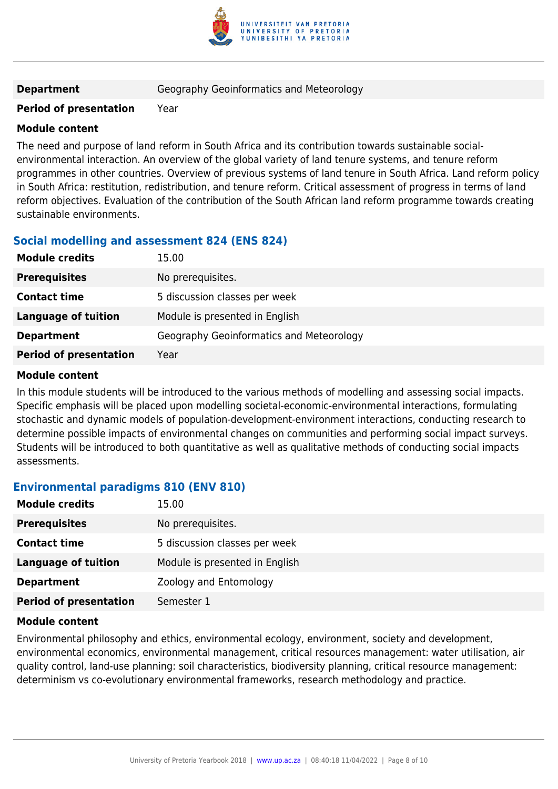

**Department Geography Geoinformatics and Meteorology** 

#### **Period of presentation** Year

#### **Module content**

The need and purpose of land reform in South Africa and its contribution towards sustainable socialenvironmental interaction. An overview of the global variety of land tenure systems, and tenure reform programmes in other countries. Overview of previous systems of land tenure in South Africa. Land reform policy in South Africa: restitution, redistribution, and tenure reform. Critical assessment of progress in terms of land reform objectives. Evaluation of the contribution of the South African land reform programme towards creating sustainable environments.

#### **Social modelling and assessment 824 (ENS 824)**

| <b>Module credits</b>         | 15.00                                    |
|-------------------------------|------------------------------------------|
| <b>Prerequisites</b>          | No prerequisites.                        |
| <b>Contact time</b>           | 5 discussion classes per week            |
| <b>Language of tuition</b>    | Module is presented in English           |
| <b>Department</b>             | Geography Geoinformatics and Meteorology |
| <b>Period of presentation</b> | Year                                     |

#### **Module content**

In this module students will be introduced to the various methods of modelling and assessing social impacts. Specific emphasis will be placed upon modelling societal-economic-environmental interactions, formulating stochastic and dynamic models of population-development-environment interactions, conducting research to determine possible impacts of environmental changes on communities and performing social impact surveys. Students will be introduced to both quantitative as well as qualitative methods of conducting social impacts assessments.

#### **Environmental paradigms 810 (ENV 810)**

| <b>Module credits</b>         | 15.00                          |
|-------------------------------|--------------------------------|
| <b>Prerequisites</b>          | No prerequisites.              |
| <b>Contact time</b>           | 5 discussion classes per week  |
| <b>Language of tuition</b>    | Module is presented in English |
| <b>Department</b>             | Zoology and Entomology         |
| <b>Period of presentation</b> | Semester 1                     |

#### **Module content**

Environmental philosophy and ethics, environmental ecology, environment, society and development, environmental economics, environmental management, critical resources management: water utilisation, air quality control, land-use planning: soil characteristics, biodiversity planning, critical resource management: determinism vs co-evolutionary environmental frameworks, research methodology and practice.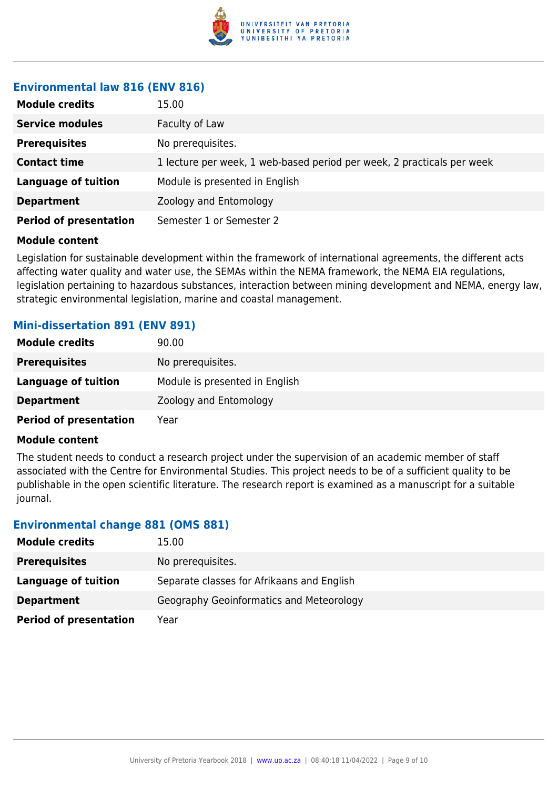

#### **Environmental law 816 (ENV 816)**

| <b>Module credits</b>         | 15.00                                                                  |
|-------------------------------|------------------------------------------------------------------------|
| <b>Service modules</b>        | Faculty of Law                                                         |
| <b>Prerequisites</b>          | No prerequisites.                                                      |
| <b>Contact time</b>           | 1 lecture per week, 1 web-based period per week, 2 practicals per week |
| <b>Language of tuition</b>    | Module is presented in English                                         |
| <b>Department</b>             | Zoology and Entomology                                                 |
| <b>Period of presentation</b> | Semester 1 or Semester 2                                               |

#### **Module content**

Legislation for sustainable development within the framework of international agreements, the different acts affecting water quality and water use, the SEMAs within the NEMA framework, the NEMA EIA regulations, legislation pertaining to hazardous substances, interaction between mining development and NEMA, energy law, strategic environmental legislation, marine and coastal management.

#### **Mini-dissertation 891 (ENV 891)**

| <b>Module credits</b>         | 90.00                          |
|-------------------------------|--------------------------------|
| <b>Prerequisites</b>          | No prerequisites.              |
| Language of tuition           | Module is presented in English |
| <b>Department</b>             | Zoology and Entomology         |
| <b>Period of presentation</b> | Year                           |

#### **Module content**

The student needs to conduct a research project under the supervision of an academic member of staff associated with the Centre for Environmental Studies. This project needs to be of a sufficient quality to be publishable in the open scientific literature. The research report is examined as a manuscript for a suitable journal.

#### **Environmental change 881 (OMS 881)**

| <b>Module credits</b>         | 15.00                                      |
|-------------------------------|--------------------------------------------|
| <b>Prerequisites</b>          | No prerequisites.                          |
| Language of tuition           | Separate classes for Afrikaans and English |
| <b>Department</b>             | Geography Geoinformatics and Meteorology   |
| <b>Period of presentation</b> | Year                                       |